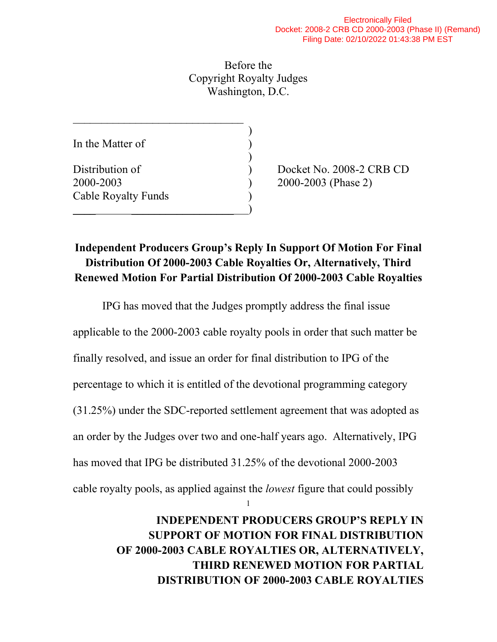Before the Copyright Royalty Judges Washington, D.C.

)

)

In the Matter of

Cable Royalty Funds )

\_\_\_\_\_\_\_\_\_\_\_\_\_\_\_\_\_\_\_\_\_\_\_\_\_\_\_\_\_\_

 $\qquad \qquad \qquad \qquad$ 

Distribution of  $Dochet No. 2008-2 CRB CD$ 2000-2003 ) 2000-2003 (Phase 2)

## **Independent Producers Group's Reply In Support Of Motion For Final Distribution Of 2000-2003 Cable Royalties Or, Alternatively, Third Renewed Motion For Partial Distribution Of 2000-2003 Cable Royalties**

IPG has moved that the Judges promptly address the final issue

applicable to the 2000-2003 cable royalty pools in order that such matter be

finally resolved, and issue an order for final distribution to IPG of the

percentage to which it is entitled of the devotional programming category

(31.25%) under the SDC-reported settlement agreement that was adopted as

an order by the Judges over two and one-half years ago. Alternatively, IPG

has moved that IPG be distributed 31.25% of the devotional 2000-2003

cable royalty pools, as applied against the *lowest* figure that could possibly

1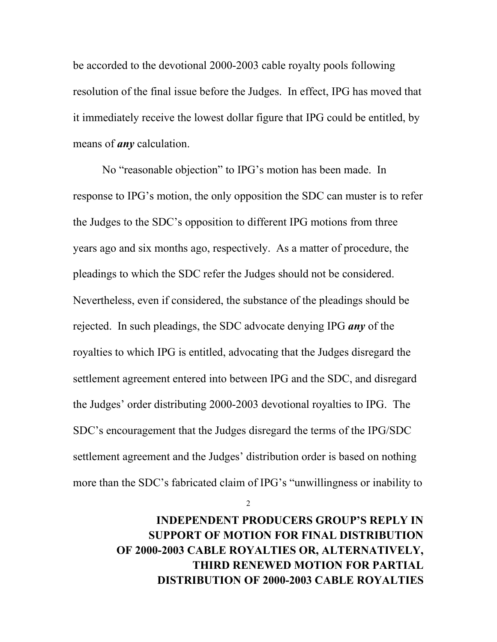be accorded to the devotional 2000-2003 cable royalty pools following resolution of the final issue before the Judges. In effect, IPG has moved that it immediately receive the lowest dollar figure that IPG could be entitled, by means of *any* calculation.

No "reasonable objection" to IPG's motion has been made. In response to IPG's motion, the only opposition the SDC can muster is to refer the Judges to the SDC's opposition to different IPG motions from three years ago and six months ago, respectively. As a matter of procedure, the pleadings to which the SDC refer the Judges should not be considered. Nevertheless, even if considered, the substance of the pleadings should be rejected. In such pleadings, the SDC advocate denying IPG *any* of the royalties to which IPG is entitled, advocating that the Judges disregard the settlement agreement entered into between IPG and the SDC, and disregard the Judges' order distributing 2000-2003 devotional royalties to IPG. The SDC's encouragement that the Judges disregard the terms of the IPG/SDC settlement agreement and the Judges' distribution order is based on nothing more than the SDC's fabricated claim of IPG's "unwillingness or inability to

2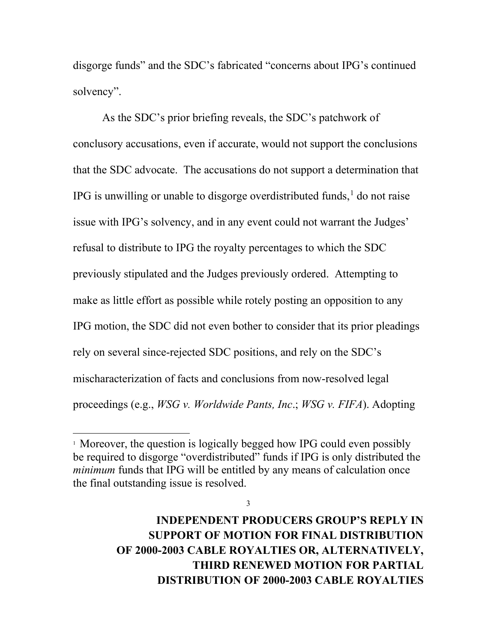disgorge funds" and the SDC's fabricated "concerns about IPG's continued solvency".

As the SDC's prior briefing reveals, the SDC's patchwork of conclusory accusations, even if accurate, would not support the conclusions that the SDC advocate. The accusations do not support a determination that IPG is unwilling or unable to disgorge overdistributed funds, $<sup>1</sup>$  $<sup>1</sup>$  $<sup>1</sup>$  do not raise</sup> issue with IPG's solvency, and in any event could not warrant the Judges' refusal to distribute to IPG the royalty percentages to which the SDC previously stipulated and the Judges previously ordered. Attempting to make as little effort as possible while rotely posting an opposition to any IPG motion, the SDC did not even bother to consider that its prior pleadings rely on several since-rejected SDC positions, and rely on the SDC's mischaracterization of facts and conclusions from now-resolved legal proceedings (e.g., *WSG v. Worldwide Pants, Inc*.; *WSG v. FIFA*). Adopting

3

<span id="page-2-0"></span><sup>&</sup>lt;sup>1</sup> Moreover, the question is logically begged how IPG could even possibly be required to disgorge "overdistributed" funds if IPG is only distributed the *minimum* funds that IPG will be entitled by any means of calculation once the final outstanding issue is resolved.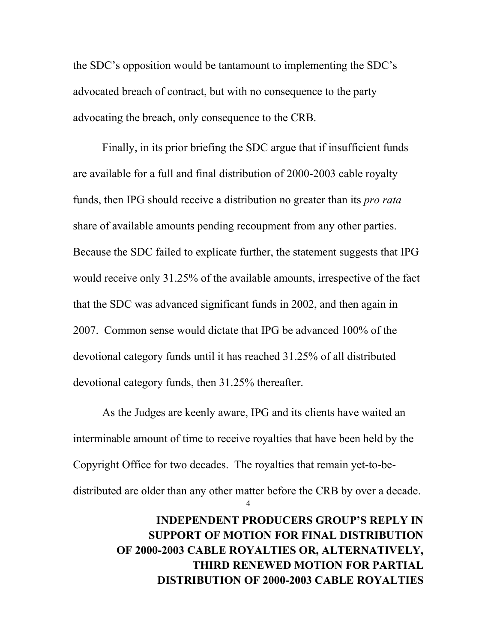the SDC's opposition would be tantamount to implementing the SDC's advocated breach of contract, but with no consequence to the party advocating the breach, only consequence to the CRB.

Finally, in its prior briefing the SDC argue that if insufficient funds are available for a full and final distribution of 2000-2003 cable royalty funds, then IPG should receive a distribution no greater than its *pro rata*  share of available amounts pending recoupment from any other parties. Because the SDC failed to explicate further, the statement suggests that IPG would receive only 31.25% of the available amounts, irrespective of the fact that the SDC was advanced significant funds in 2002, and then again in 2007. Common sense would dictate that IPG be advanced 100% of the devotional category funds until it has reached 31.25% of all distributed devotional category funds, then 31.25% thereafter.

4 As the Judges are keenly aware, IPG and its clients have waited an interminable amount of time to receive royalties that have been held by the Copyright Office for two decades. The royalties that remain yet-to-bedistributed are older than any other matter before the CRB by over a decade.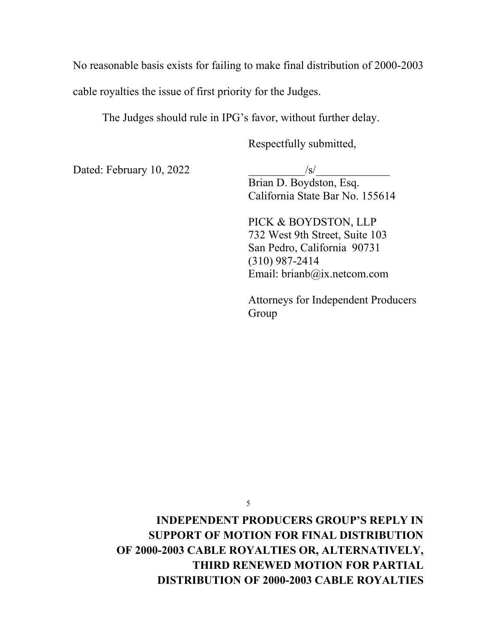No reasonable basis exists for failing to make final distribution of 2000-2003

cable royalties the issue of first priority for the Judges.

The Judges should rule in IPG's favor, without further delay.

Respectfully submitted,

Dated: February 10, 2022  $\sqrt{s}$ 

Brian D. Boydston, Esq. California State Bar No. 155614

PICK & BOYDSTON, LLP 732 West 9th Street, Suite 103 San Pedro, California 90731 (310) 987-2414 Email: brianb@ix.netcom.com

Attorneys for Independent Producers Group

5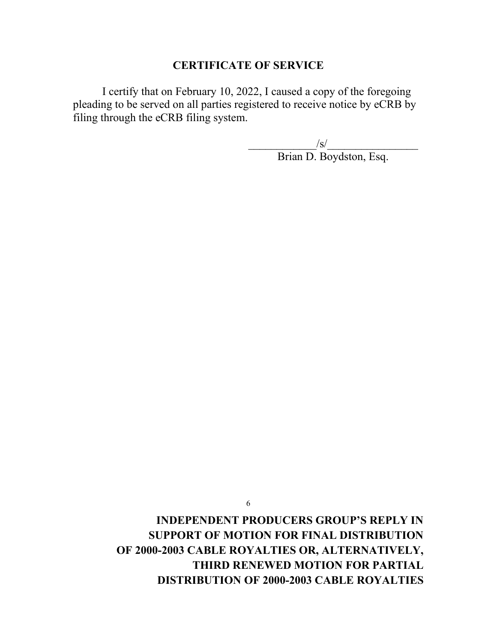## **CERTIFICATE OF SERVICE**

I certify that on February 10, 2022, I caused a copy of the foregoing pleading to be served on all parties registered to receive notice by eCRB by filing through the eCRB filing system.

 $\sqrt{s}/$ 

Brian D. Boydston, Esq.

6